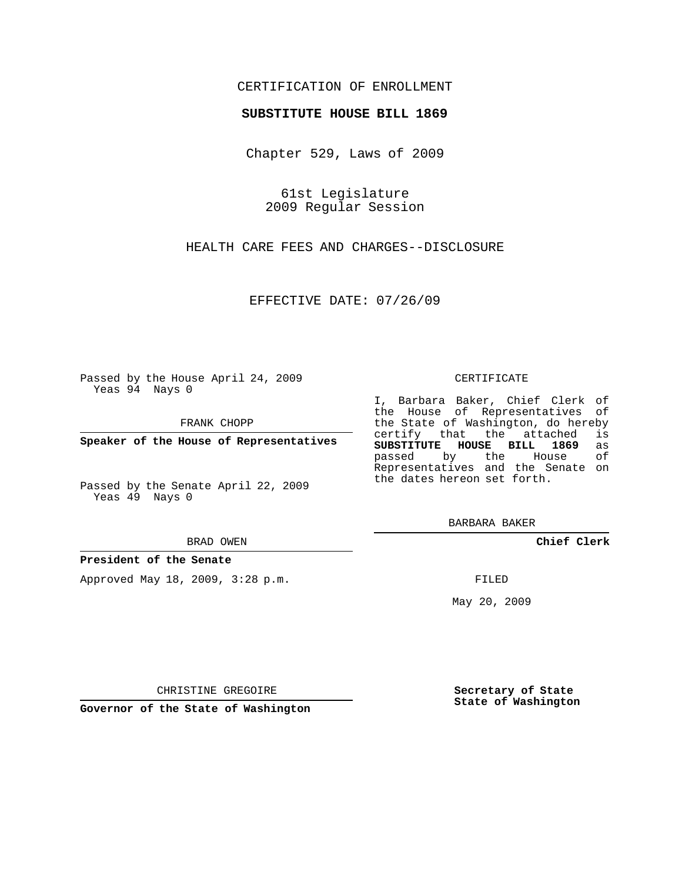# CERTIFICATION OF ENROLLMENT

## **SUBSTITUTE HOUSE BILL 1869**

Chapter 529, Laws of 2009

61st Legislature 2009 Regular Session

HEALTH CARE FEES AND CHARGES--DISCLOSURE

EFFECTIVE DATE: 07/26/09

Passed by the House April 24, 2009 Yeas 94 Nays 0

FRANK CHOPP

**Speaker of the House of Representatives**

Passed by the Senate April 22, 2009 Yeas 49 Nays 0

#### BRAD OWEN

## **President of the Senate**

Approved May 18, 2009, 3:28 p.m.

#### CERTIFICATE

I, Barbara Baker, Chief Clerk of the House of Representatives of the State of Washington, do hereby<br>certify that the attached is certify that the attached **SUBSTITUTE HOUSE BILL 1869** as passed by the House Representatives and the Senate on the dates hereon set forth.

BARBARA BAKER

**Chief Clerk**

FILED

May 20, 2009

**Secretary of State State of Washington**

CHRISTINE GREGOIRE

**Governor of the State of Washington**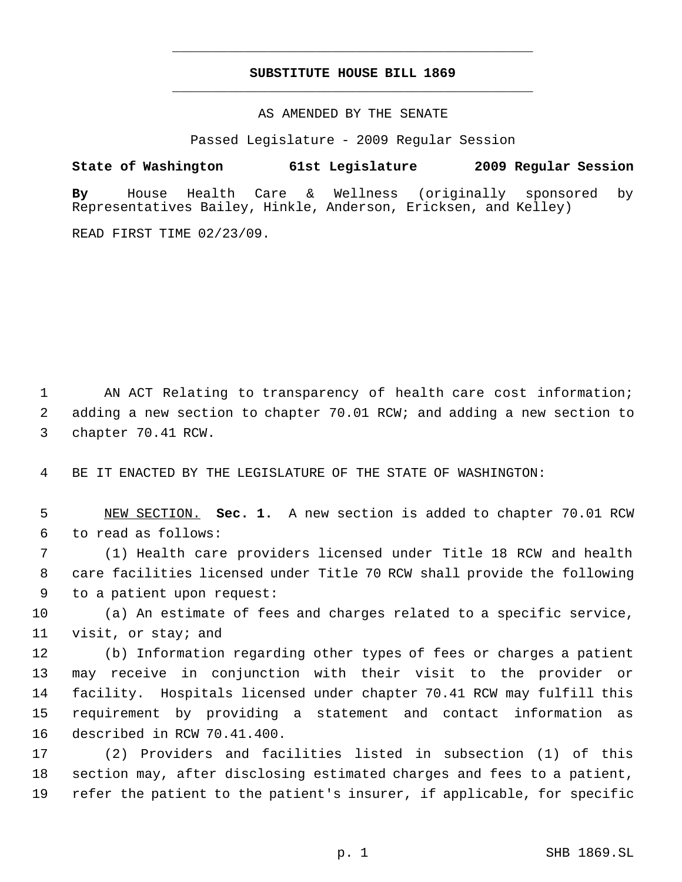# **SUBSTITUTE HOUSE BILL 1869** \_\_\_\_\_\_\_\_\_\_\_\_\_\_\_\_\_\_\_\_\_\_\_\_\_\_\_\_\_\_\_\_\_\_\_\_\_\_\_\_\_\_\_\_\_

\_\_\_\_\_\_\_\_\_\_\_\_\_\_\_\_\_\_\_\_\_\_\_\_\_\_\_\_\_\_\_\_\_\_\_\_\_\_\_\_\_\_\_\_\_

AS AMENDED BY THE SENATE

Passed Legislature - 2009 Regular Session

**State of Washington 61st Legislature 2009 Regular Session By** House Health Care & Wellness (originally sponsored by Representatives Bailey, Hinkle, Anderson, Ericksen, and Kelley)

READ FIRST TIME 02/23/09.

 AN ACT Relating to transparency of health care cost information; adding a new section to chapter 70.01 RCW; and adding a new section to chapter 70.41 RCW.

BE IT ENACTED BY THE LEGISLATURE OF THE STATE OF WASHINGTON:

 NEW SECTION. **Sec. 1.** A new section is added to chapter 70.01 RCW to read as follows:

 (1) Health care providers licensed under Title 18 RCW and health care facilities licensed under Title 70 RCW shall provide the following to a patient upon request:

 (a) An estimate of fees and charges related to a specific service, visit, or stay; and

 (b) Information regarding other types of fees or charges a patient may receive in conjunction with their visit to the provider or facility. Hospitals licensed under chapter 70.41 RCW may fulfill this requirement by providing a statement and contact information as described in RCW 70.41.400.

 (2) Providers and facilities listed in subsection (1) of this section may, after disclosing estimated charges and fees to a patient, refer the patient to the patient's insurer, if applicable, for specific